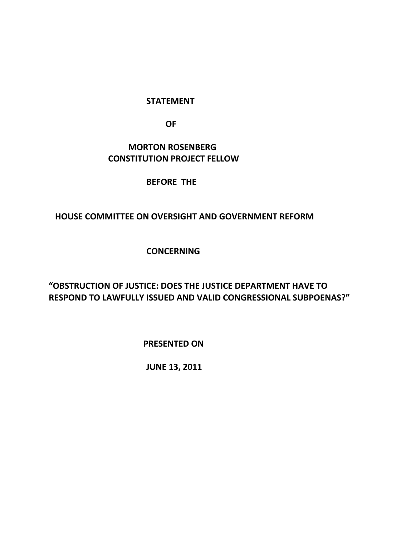#### **STATEMENT**

 **OF**

## **MORTON ROSENBERG CONSTITUTION PROJECT FELLOW**

#### **BEFORE THE**

### **HOUSE COMMITTEE ON OVERSIGHT AND GOVERNMENT REFORM**

### **CONCERNING**

# **"OBSTRUCTION OF JUSTICE: DOES THE JUSTICE DEPARTMENT HAVE TO RESPOND TO LAWFULLY ISSUED AND VALID CONGRESSIONAL SUBPOENAS?"**

 **PRESENTED ON**

**JUNE 13, 2011**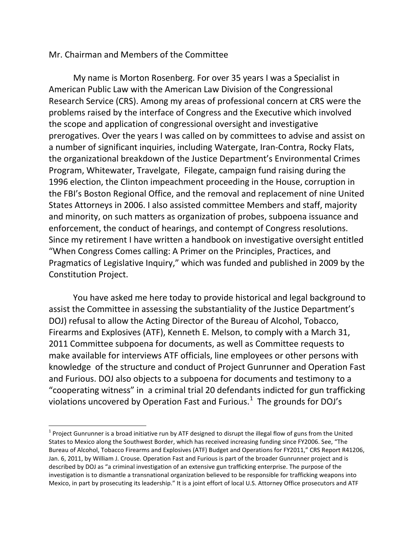#### Mr. Chairman and Members of the Committee

My name is Morton Rosenberg. For over 35 years I was a Specialist in American Public Law with the American Law Division of the Congressional Research Service (CRS). Among my areas of professional concern at CRS were the problems raised by the interface of Congress and the Executive which involved the scope and application of congressional oversight and investigative prerogatives. Over the years I was called on by committees to advise and assist on a number of significant inquiries, including Watergate, Iran-Contra, Rocky Flats, the organizational breakdown of the Justice Department's Environmental Crimes Program, Whitewater, Travelgate, Filegate, campaign fund raising during the 1996 election, the Clinton impeachment proceeding in the House, corruption in the FBI's Boston Regional Office, and the removal and replacement of nine United States Attorneys in 2006. I also assisted committee Members and staff, majority and minority, on such matters as organization of probes, subpoena issuance and enforcement, the conduct of hearings, and contempt of Congress resolutions. Since my retirement I have written a handbook on investigative oversight entitled "When Congress Comes calling: A Primer on the Principles, Practices, and Pragmatics of Legislative Inquiry," which was funded and published in 2009 by the Constitution Project.

You have asked me here today to provide historical and legal background to assist the Committee in assessing the substantiality of the Justice Department's DOJ) refusal to allow the Acting Director of the Bureau of Alcohol, Tobacco, Firearms and Explosives (ATF), Kenneth E. Melson, to comply with a March 31, 2011 Committee subpoena for documents, as well as Committee requests to make available for interviews ATF officials, line employees or other persons with knowledge of the structure and conduct of Project Gunrunner and Operation Fast and Furious. DOJ also objects to a subpoena for documents and testimony to a "cooperating witness" in a criminal trial 20 defendants indicted for gun trafficking violations uncovered by Operation Fast and Furious.<sup>[1](#page-1-0)</sup> The grounds for DOJ's

<span id="page-1-0"></span> $1$  Project Gunrunner is a broad initiative run by ATF designed to disrupt the illegal flow of guns from the United States to Mexico along the Southwest Border, which has received increasing funding since FY2006. See, "The Bureau of Alcohol, Tobacco Firearms and Explosives (ATF) Budget and Operations for FY2011," CRS Report R41206, Jan. 6, 2011, by William J. Crouse. Operation Fast and Furious is part of the broader Gunrunner project and is described by DOJ as "a criminal investigation of an extensive gun trafficking enterprise. The purpose of the investigation is to dismantle a transnational organization believed to be responsible for trafficking weapons into Mexico, in part by prosecuting its leadership." It is a joint effort of local U.S. Attorney Office prosecutors and ATF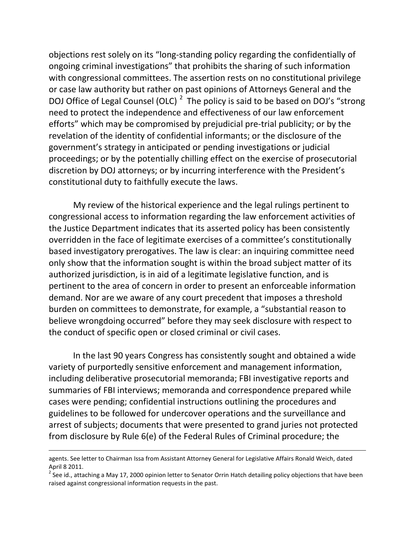objections rest solely on its "long-standing policy regarding the confidentially of ongoing criminal investigations" that prohibits the sharing of such information with congressional committees. The assertion rests on no constitutional privilege or case law authority but rather on past opinions of Attorneys General and the DOJ Office of Legal Counsel (OLC)  $^2$  $^2$  The policy is said to be based on DOJ's "strong need to protect the independence and effectiveness of our law enforcement efforts" which may be compromised by prejudicial pre-trial publicity; or by the revelation of the identity of confidential informants; or the disclosure of the government's strategy in anticipated or pending investigations or judicial proceedings; or by the potentially chilling effect on the exercise of prosecutorial discretion by DOJ attorneys; or by incurring interference with the President's constitutional duty to faithfully execute the laws.

My review of the historical experience and the legal rulings pertinent to congressional access to information regarding the law enforcement activities of the Justice Department indicates that its asserted policy has been consistently overridden in the face of legitimate exercises of a committee's constitutionally based investigatory prerogatives. The law is clear: an inquiring committee need only show that the information sought is within the broad subject matter of its authorized jurisdiction, is in aid of a legitimate legislative function, and is pertinent to the area of concern in order to present an enforceable information demand. Nor are we aware of any court precedent that imposes a threshold burden on committees to demonstrate, for example, a "substantial reason to believe wrongdoing occurred" before they may seek disclosure with respect to the conduct of specific open or closed criminal or civil cases.

In the last 90 years Congress has consistently sought and obtained a wide variety of purportedly sensitive enforcement and management information, including deliberative prosecutorial memoranda; FBI investigative reports and summaries of FBI interviews; memoranda and correspondence prepared while cases were pending; confidential instructions outlining the procedures and guidelines to be followed for undercover operations and the surveillance and arrest of subjects; documents that were presented to grand juries not protected from disclosure by Rule 6(e) of the Federal Rules of Criminal procedure; the

 $\overline{\phantom{a}}$ 

agents. See letter to Chairman Issa from Assistant Attorney General for Legislative Affairs Ronald Weich, dated April 8 2011.

<span id="page-2-0"></span><sup>&</sup>lt;sup>2</sup> See id., attaching a May 17, 2000 opinion letter to Senator Orrin Hatch detailing policy objections that have been raised against congressional information requests in the past.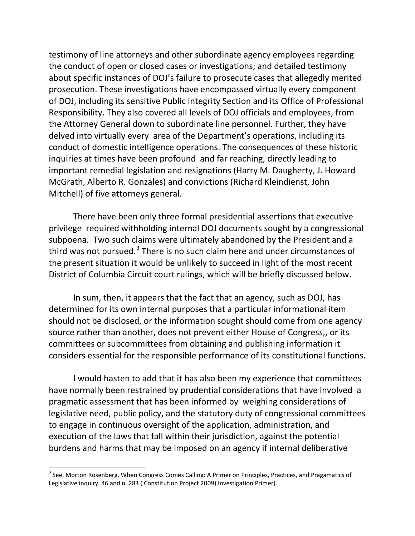testimony of line attorneys and other subordinate agency employees regarding the conduct of open or closed cases or investigations; and detailed testimony about specific instances of DOJ's failure to prosecute cases that allegedly merited prosecution. These investigations have encompassed virtually every component of DOJ, including its sensitive Public integrity Section and its Office of Professional Responsibility. They also covered all levels of DOJ officials and employees, from the Attorney General down to subordinate line personnel. Further, they have delved into virtually every area of the Department's operations, including its conduct of domestic intelligence operations. The consequences of these historic inquiries at times have been profound and far reaching, directly leading to important remedial legislation and resignations (Harry M. Daugherty, J. Howard McGrath, Alberto R. Gonzales) and convictions (Richard Kleindienst, John Mitchell) of five attorneys general.

There have been only three formal presidential assertions that executive privilege required withholding internal DOJ documents sought by a congressional subpoena. Two such claims were ultimately abandoned by the President and a third was not pursued. $3$  There is no such claim here and under circumstances of the present situation it would be unlikely to succeed in light of the most recent District of Columbia Circuit court rulings, which will be briefly discussed below.

In sum, then, it appears that the fact that an agency, such as DOJ, has determined for its own internal purposes that a particular informational item should not be disclosed, or the information sought should come from one agency source rather than another, does not prevent either House of Congress,, or its committees or subcommittees from obtaining and publishing information it considers essential for the responsible performance of its constitutional functions.

I would hasten to add that it has also been my experience that committees have normally been restrained by prudential considerations that have involved a pragmatic assessment that has been informed by weighing considerations of legislative need, public policy, and the statutory duty of congressional committees to engage in continuous oversight of the application, administration, and execution of the laws that fall within their jurisdiction, against the potential burdens and harms that may be imposed on an agency if internal deliberative

<span id="page-3-0"></span><sup>&</sup>lt;sup>3</sup> See, Morton Rosenberg, When Congress Comes Calling: A Primer on Principles, Practices, and Pragamatics of Legislative inquiry, 46 and n. 283 ( Constitution Project 2009) Investigation Primer).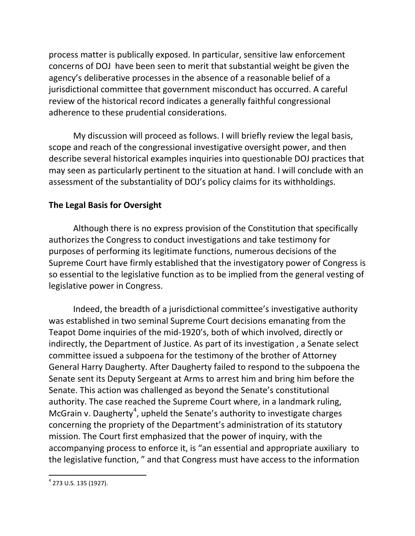process matter is publically exposed. In particular, sensitive law enforcement concerns of DOJ have been seen to merit that substantial weight be given the agency's deliberative processes in the absence of a reasonable belief of a jurisdictional committee that government misconduct has occurred. A careful review of the historical record indicates a generally faithful congressional adherence to these prudential considerations.

My discussion will proceed as follows. I will briefly review the legal basis, scope and reach of the congressional investigative oversight power, and then describe several historical examples inquiries into questionable DOJ practices that may seen as particularly pertinent to the situation at hand. I will conclude with an assessment of the substantiality of DOJ's policy claims for its withholdings.

## **The Legal Basis for Oversight**

Although there is no express provision of the Constitution that specifically authorizes the Congress to conduct investigations and take testimony for purposes of performing its legitimate functions, numerous decisions of the Supreme Court have firmly established that the investigatory power of Congress is so essential to the legislative function as to be implied from the general vesting of legislative power in Congress.

Indeed, the breadth of a jurisdictional committee's investigative authority was established in two seminal Supreme Court decisions emanating from the Teapot Dome inquiries of the mid-1920's, both of which involved, directly or indirectly, the Department of Justice. As part of its investigation , a Senate select committee issued a subpoena for the testimony of the brother of Attorney General Harry Daugherty. After Daugherty failed to respond to the subpoena the Senate sent its Deputy Sergeant at Arms to arrest him and bring him before the Senate. This action was challenged as beyond the Senate's constitutional authority. The case reached the Supreme Court where, in a landmark ruling, McGrain v. Daugherty<sup>[4](#page-4-0)</sup>, upheld the Senate's authority to investigate charges concerning the propriety of the Department's administration of its statutory mission. The Court first emphasized that the power of inquiry, with the accompanying process to enforce it, is "an essential and appropriate auxiliary to the legislative function, " and that Congress must have access to the information

<span id="page-4-0"></span> <sup>4</sup> 273 U.S. 135 (1927).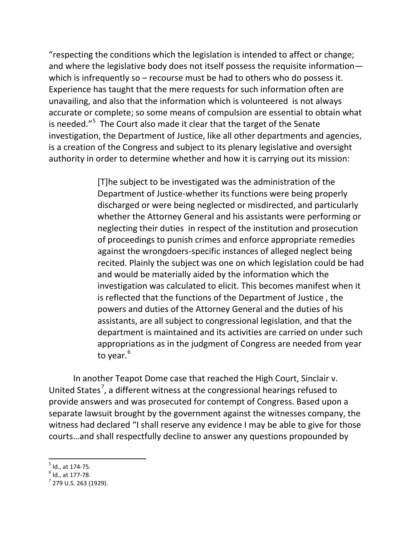"respecting the conditions which the legislation is intended to affect or change; and where the legislative body does not itself possess the requisite information which is infrequently so – recourse must be had to others who do possess it. Experience has taught that the mere requests for such information often are unavailing, and also that the information which is volunteered is not always accurate or complete; so some means of compulsion are essential to obtain what is needed."<sup>[5](#page-5-0)</sup> The Court also made it clear that the target of the Senate investigation, the Department of Justice, like all other departments and agencies, is a creation of the Congress and subject to its plenary legislative and oversight authority in order to determine whether and how it is carrying out its mission:

> [T]he subject to be investigated was the administration of the Department of Justice-whether its functions were being properly discharged or were being neglected or misdirected, and particularly whether the Attorney General and his assistants were performing or neglecting their duties in respect of the institution and prosecution of proceedings to punish crimes and enforce appropriate remedies against the wrongdoers-specific instances of alleged neglect being recited. Plainly the subject was one on which legislation could be had and would be materially aided by the information which the investigation was calculated to elicit. This becomes manifest when it is reflected that the functions of the Department of Justice , the powers and duties of the Attorney General and the duties of his assistants, are all subject to congressional legislation, and that the department is maintained and its activities are carried on under such appropriations as in the judgment of Congress are needed from year to year.<sup>[6](#page-5-1)</sup>

In another Teapot Dome case that reached the High Court, Sinclair v. United States<sup>[7](#page-5-2)</sup>, a different witness at the congressional hearings refused to provide answers and was prosecuted for contempt of Congress. Based upon a separate lawsuit brought by the government against the witnesses company, the witness had declared "I shall reserve any evidence I may be able to give for those courts…and shall respectfully decline to answer any questions propounded by

<span id="page-5-0"></span> $^5$  Id., at 174-75.<br> $^6$  Id.. at 177-78.

<span id="page-5-1"></span>

<span id="page-5-2"></span> $^{7}$  279 U.S. 263 (1929).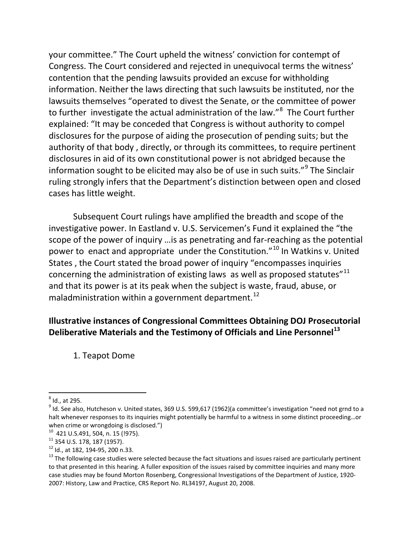your committee." The Court upheld the witness' conviction for contempt of Congress. The Court considered and rejected in unequivocal terms the witness' contention that the pending lawsuits provided an excuse for withholding information. Neither the laws directing that such lawsuits be instituted, nor the lawsuits themselves "operated to divest the Senate, or the committee of power to further investigate the actual administration of the law."<sup>[8](#page-6-0)</sup> The Court further explained: "It may be conceded that Congress is without authority to compel disclosures for the purpose of aiding the prosecution of pending suits; but the authority of that body , directly, or through its committees, to require pertinent disclosures in aid of its own constitutional power is not abridged because the information sought to be elicited may also be of use in such suits."<sup>[9](#page-6-1)</sup> The Sinclair ruling strongly infers that the Department's distinction between open and closed cases has little weight.

Subsequent Court rulings have amplified the breadth and scope of the investigative power. In Eastland v. U.S. Servicemen's Fund it explained the "the scope of the power of inquiry …is as penetrating and far-reaching as the potential power to enact and appropriate under the Constitution."[10](#page-6-2) In Watkins v. United States , the Court stated the broad power of inquiry "encompasses inquiries concerning the administration of existing laws as well as proposed statutes"<sup>[11](#page-6-3)</sup> and that its power is at its peak when the subject is waste, fraud, abuse, or maladministration within a government department.<sup>[12](#page-6-4)</sup>

## **Illustrative instances of Congressional Committees Obtaining DOJ Prosecutorial Deliberative Materials and the Testimony of Officials and Line Personnel[13](#page-6-5)**

1. Teapot Dome

<span id="page-6-0"></span> $<sup>8</sup>$  Id., at 295.</sup>

<span id="page-6-1"></span> $9$  Id. See also, Hutcheson v. United states, 369 U.S. 599,617 (1962)(a committee's investigation "need not grnd to a halt whenever responses to its inquiries might potentially be harmful to a witness in some distinct proceeding…or when crime or wrongdoing is disclosed.")<br> $^{10}$  421 U.S.491, 504, n. 15 (!975).

<span id="page-6-5"></span>

<span id="page-6-4"></span><span id="page-6-3"></span><span id="page-6-2"></span><sup>&</sup>lt;sup>11</sup> 354 U.S. 178, 187 (1957).<br><sup>12</sup> Id., at 182, 194-95, 200 n.33.<br><sup>13</sup> The following case studies were selected because the fact situations and issues raised are particularly pertinent to that presented in this hearing. A fuller exposition of the issues raised by committee inquiries and many more case studies may be found Morton Rosenberg, Congressional Investigations of the Department of Justice, 1920- 2007: History, Law and Practice, CRS Report No. RL34197, August 20, 2008.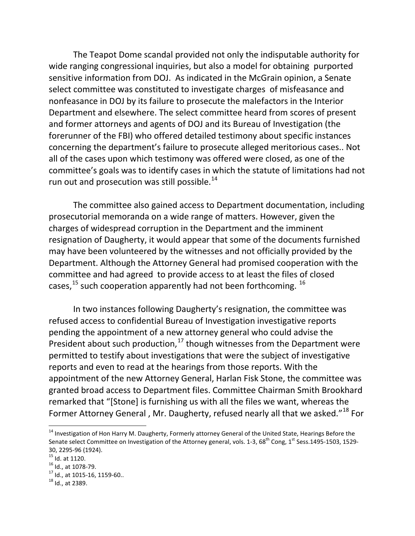The Teapot Dome scandal provided not only the indisputable authority for wide ranging congressional inquiries, but also a model for obtaining purported sensitive information from DOJ. As indicated in the McGrain opinion, a Senate select committee was constituted to investigate charges of misfeasance and nonfeasance in DOJ by its failure to prosecute the malefactors in the Interior Department and elsewhere. The select committee heard from scores of present and former attorneys and agents of DOJ and its Bureau of Investigation (the forerunner of the FBI) who offered detailed testimony about specific instances concerning the department's failure to prosecute alleged meritorious cases.. Not all of the cases upon which testimony was offered were closed, as one of the committee's goals was to identify cases in which the statute of limitations had not run out and prosecution was still possible.<sup>[14](#page-7-0)</sup>

The committee also gained access to Department documentation, including prosecutorial memoranda on a wide range of matters. However, given the charges of widespread corruption in the Department and the imminent resignation of Daugherty, it would appear that some of the documents furnished may have been volunteered by the witnesses and not officially provided by the Department. Although the Attorney General had promised cooperation with the committee and had agreed to provide access to at least the files of closed cases,  $15$  such cooperation apparently had not been forthcoming.  $16$ 

In two instances following Daugherty's resignation, the committee was refused access to confidential Bureau of Investigation investigative reports pending the appointment of a new attorney general who could advise the President about such production,<sup>[17](#page-7-3)</sup> though witnesses from the Department were permitted to testify about investigations that were the subject of investigative reports and even to read at the hearings from those reports. With the appointment of the new Attorney General, Harlan Fisk Stone, the committee was granted broad access to Department files. Committee Chairman Smith Brookhard remarked that "[Stone] is furnishing us with all the files we want, whereas the Former Attorney General, Mr. Daugherty, refused nearly all that we asked."<sup>[18](#page-7-4)</sup> For

<span id="page-7-3"></span><span id="page-7-2"></span><span id="page-7-1"></span><sup>16</sup> Id., at 1078-79.<br><sup>17</sup> Id., at 1015-16, 1159-60..<br><sup>18</sup> Id., at 2389.

<span id="page-7-0"></span><sup>&</sup>lt;sup>14</sup> Investigation of Hon Harry M. Daugherty, Formerly attorney General of the United State, Hearings Before the Senate select Committee on Investigation of the Attorney general, vols. 1-3, 68<sup>th</sup> Cong, 1<sup>st</sup> Sess.1495-1503, 1529-30, 2295-96 (1924).<br><sup>15</sup> Id. at 1120.

<span id="page-7-4"></span>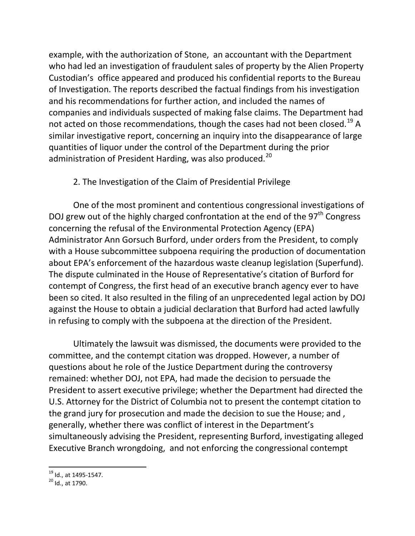example, with the authorization of Stone, an accountant with the Department who had led an investigation of fraudulent sales of property by the Alien Property Custodian's office appeared and produced his confidential reports to the Bureau of Investigation. The reports described the factual findings from his investigation and his recommendations for further action, and included the names of companies and individuals suspected of making false claims. The Department had not acted on those recommendations, though the cases had not been closed.<sup>[19](#page-8-0)</sup> A similar investigative report, concerning an inquiry into the disappearance of large quantities of liquor under the control of the Department during the prior administration of President Harding, was also produced.<sup>[20](#page-8-1)</sup>

### 2. The Investigation of the Claim of Presidential Privilege

One of the most prominent and contentious congressional investigations of DOJ grew out of the highly charged confrontation at the end of the  $97<sup>th</sup>$  Congress concerning the refusal of the Environmental Protection Agency (EPA) Administrator Ann Gorsuch Burford, under orders from the President, to comply with a House subcommittee subpoena requiring the production of documentation about EPA's enforcement of the hazardous waste cleanup legislation (Superfund). The dispute culminated in the House of Representative's citation of Burford for contempt of Congress, the first head of an executive branch agency ever to have been so cited. It also resulted in the filing of an unprecedented legal action by DOJ against the House to obtain a judicial declaration that Burford had acted lawfully in refusing to comply with the subpoena at the direction of the President.

Ultimately the lawsuit was dismissed, the documents were provided to the committee, and the contempt citation was dropped. However, a number of questions about he role of the Justice Department during the controversy remained: whether DOJ, not EPA, had made the decision to persuade the President to assert executive privilege; whether the Department had directed the U.S. Attorney for the District of Columbia not to present the contempt citation to the grand jury for prosecution and made the decision to sue the House; and , generally, whether there was conflict of interest in the Department's simultaneously advising the President, representing Burford, investigating alleged Executive Branch wrongdoing, and not enforcing the congressional contempt

<span id="page-8-1"></span><span id="page-8-0"></span> $^{19}$  Id., at 1495-1547.<br> $^{20}$  Id., at 1790.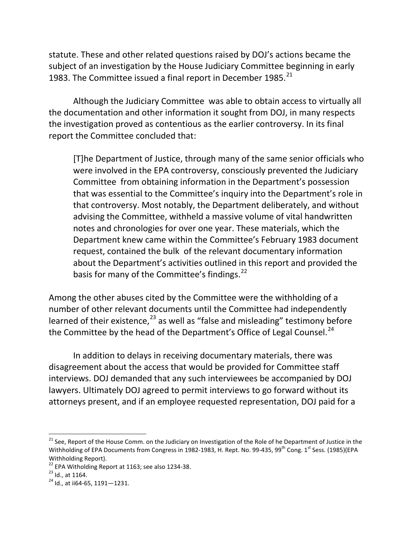statute. These and other related questions raised by DOJ's actions became the subject of an investigation by the House Judiciary Committee beginning in early 1983. The Committee issued a final report in December 1985.<sup>21</sup>

Although the Judiciary Committee was able to obtain access to virtually all the documentation and other information it sought from DOJ, in many respects the investigation proved as contentious as the earlier controversy. In its final report the Committee concluded that:

[T]he Department of Justice, through many of the same senior officials who were involved in the EPA controversy, consciously prevented the Judiciary Committee from obtaining information in the Department's possession that was essential to the Committee's inquiry into the Department's role in that controversy. Most notably, the Department deliberately, and without advising the Committee, withheld a massive volume of vital handwritten notes and chronologies for over one year. These materials, which the Department knew came within the Committee's February 1983 document request, contained the bulk of the relevant documentary information about the Department's activities outlined in this report and provided the basis for many of the Committee's findings.<sup>[22](#page-9-1)</sup>

Among the other abuses cited by the Committee were the withholding of a number of other relevant documents until the Committee had independently learned of their existence, $^{23}$  $^{23}$  $^{23}$  as well as "false and misleading" testimony before the Committee by the head of the Department's Office of Legal Counsel.<sup>[24](#page-9-3)</sup>

In addition to delays in receiving documentary materials, there was disagreement about the access that would be provided for Committee staff interviews. DOJ demanded that any such interviewees be accompanied by DOJ lawyers. Ultimately DOJ agreed to permit interviews to go forward without its attorneys present, and if an employee requested representation, DOJ paid for a

<span id="page-9-0"></span><sup>&</sup>lt;sup>21</sup> See, Report of the House Comm. on the Judiciary on Investigation of the Role of he Department of Justice in the Withholding of EPA Documents from Congress in 1982-1983, H. Rept. No. 99-435, 99<sup>th</sup> Cong. 1<sup>st</sup> Sess. (1985)(EPA Withholding Report).

<span id="page-9-1"></span><sup>&</sup>lt;sup>22</sup> EPA Witholding Report at 1163; see also 1234-38.<br><sup>23</sup> Id., at 1164.<br><sup>24</sup> Id., at ii64-65, 1191—1231.

<span id="page-9-2"></span>

<span id="page-9-3"></span>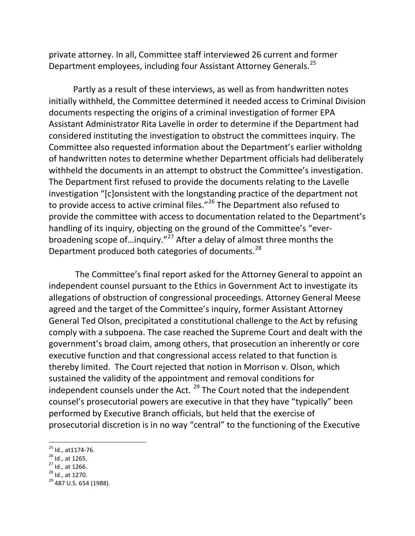private attorney. In all, Committee staff interviewed 26 current and former Department employees, including four Assistant Attorney Generals.<sup>[25](#page-10-0)</sup>

Partly as a result of these interviews, as well as from handwritten notes initially withheld, the Committee determined it needed access to Criminal Division documents respecting the origins of a criminal investigation of former EPA Assistant Administrator Rita Lavelle in order to determine if the Department had considered instituting the investigation to obstruct the committees inquiry. The Committee also requested information about the Department's earlier witholdng of handwritten notes to determine whether Department officials had deliberately withheld the documents in an attempt to obstruct the Committee's investigation. The Department first refused to provide the documents relating to the Lavelle investigation "[c]onsistent with the longstanding practice of the department not to provide access to active criminal files."<sup>[26](#page-10-1)</sup> The Department also refused to provide the committee with access to documentation related to the Department's handling of its inquiry, objecting on the ground of the Committee's "everbroadening scope of...inquiry." $^{27}$  $^{27}$  $^{27}$  After a delay of almost three months the Department produced both categories of documents.<sup>[28](#page-10-3)</sup>

The Committee's final report asked for the Attorney General to appoint an independent counsel pursuant to the Ethics in Government Act to investigate its allegations of obstruction of congressional proceedings. Attorney General Meese agreed and the target of the Committee's inquiry, former Assistant Attorney General Ted Olson, precipitated a constitutional challenge to the Act by refusing comply with a subpoena. The case reached the Supreme Court and dealt with the government's broad claim, among others, that prosecution an inherently or core executive function and that congressional access related to that function is thereby limited. The Court rejected that notion in Morrison v. Olson, which sustained the validity of the appointment and removal conditions for independent counsels under the Act. <sup>[29](#page-10-4)</sup> The Court noted that the independent counsel's prosecutorial powers are executive in that they have "typically" been performed by Executive Branch officials, but held that the exercise of prosecutorial discretion is in no way "central" to the functioning of the Executive

<span id="page-10-4"></span><span id="page-10-3"></span>

<span id="page-10-1"></span><span id="page-10-0"></span> $^{25}$  Id., at 1174-76.<br> $^{26}$  Id., at 1265.

<span id="page-10-2"></span><sup>&</sup>lt;sup>27</sup> Id., at 1266.<br><sup>28</sup> Id., at 1270.<br><sup>29</sup> 487 U.S. 654 (1988).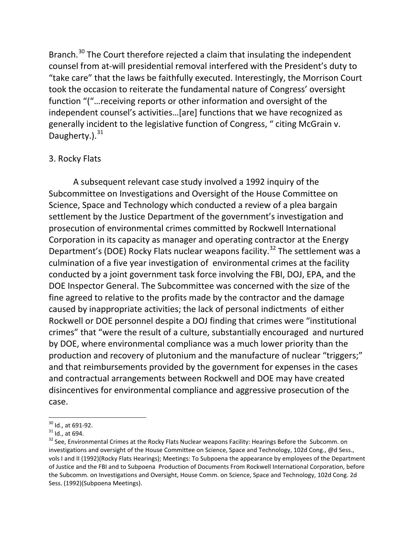Branch.<sup>[30](#page-11-0)</sup> The Court therefore rejected a claim that insulating the independent counsel from at-will presidential removal interfered with the President's duty to "take care" that the laws be faithfully executed. Interestingly, the Morrison Court took the occasion to reiterate the fundamental nature of Congress' oversight function "("…receiving reports or other information and oversight of the independent counsel's activities…[are] functions that we have recognized as generally incident to the legislative function of Congress, " citing McGrain v. Daugherty.). $31$ 

### 3. Rocky Flats

A subsequent relevant case study involved a 1992 inquiry of the Subcommittee on Investigations and Oversight of the House Committee on Science, Space and Technology which conducted a review of a plea bargain settlement by the Justice Department of the government's investigation and prosecution of environmental crimes committed by Rockwell International Corporation in its capacity as manager and operating contractor at the Energy Department's (DOE) Rocky Flats nuclear weapons facility.<sup>[32](#page-11-2)</sup> The settlement was a culmination of a five year investigation of environmental crimes at the facility conducted by a joint government task force involving the FBI, DOJ, EPA, and the DOE Inspector General. The Subcommittee was concerned with the size of the fine agreed to relative to the profits made by the contractor and the damage caused by inappropriate activities; the lack of personal indictments of either Rockwell or DOE personnel despite a DOJ finding that crimes were "institutional crimes" that "were the result of a culture, substantially encouraged and nurtured by DOE, where environmental compliance was a much lower priority than the production and recovery of plutonium and the manufacture of nuclear "triggers;" and that reimbursements provided by the government for expenses in the cases and contractual arrangements between Rockwell and DOE may have created disincentives for environmental compliance and aggressive prosecution of the case.

<span id="page-11-0"></span> $\frac{30}{31}$  ld., at 691-92.<br> $\frac{31}{31}$  ld., at 694.

<span id="page-11-2"></span><span id="page-11-1"></span><sup>&</sup>lt;sup>32</sup> See, Environmental Crimes at the Rocky Flats Nuclear weapons Facility: Hearings Before the Subcomm. on investigations and oversight of the House Committee on Science, Space and Technology, 102d Cong., @d Sess., vols I and II (1992)(Rocky Flats Hearings); Meetings: To Subpoena the appearance by employees of the Department of Justice and the FBI and to Subpoena Production of Documents From Rockwell International Corporation, before the Subcomm. on Investigations and Oversight, House Comm. on Science, Space and Technology, 102d Cong. 2d Sess. (1992)(Subpoena Meetings).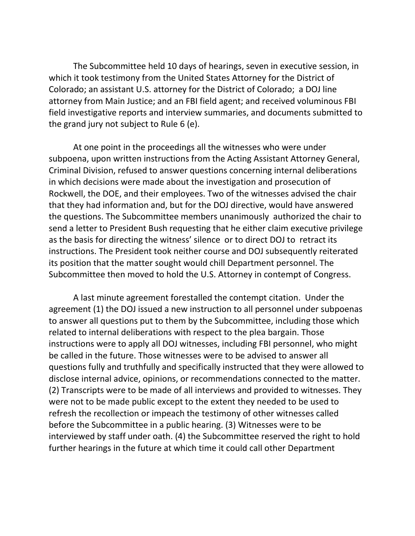The Subcommittee held 10 days of hearings, seven in executive session, in which it took testimony from the United States Attorney for the District of Colorado; an assistant U.S. attorney for the District of Colorado; a DOJ line attorney from Main Justice; and an FBI field agent; and received voluminous FBI field investigative reports and interview summaries, and documents submitted to the grand jury not subject to Rule 6 (e).

At one point in the proceedings all the witnesses who were under subpoena, upon written instructions from the Acting Assistant Attorney General, Criminal Division, refused to answer questions concerning internal deliberations in which decisions were made about the investigation and prosecution of Rockwell, the DOE, and their employees. Two of the witnesses advised the chair that they had information and, but for the DOJ directive, would have answered the questions. The Subcommittee members unanimously authorized the chair to send a letter to President Bush requesting that he either claim executive privilege as the basis for directing the witness' silence or to direct DOJ to retract its instructions. The President took neither course and DOJ subsequently reiterated its position that the matter sought would chill Department personnel. The Subcommittee then moved to hold the U.S. Attorney in contempt of Congress.

A last minute agreement forestalled the contempt citation. Under the agreement (1) the DOJ issued a new instruction to all personnel under subpoenas to answer all questions put to them by the Subcommittee, including those which related to internal deliberations with respect to the plea bargain. Those instructions were to apply all DOJ witnesses, including FBI personnel, who might be called in the future. Those witnesses were to be advised to answer all questions fully and truthfully and specifically instructed that they were allowed to disclose internal advice, opinions, or recommendations connected to the matter. (2) Transcripts were to be made of all interviews and provided to witnesses. They were not to be made public except to the extent they needed to be used to refresh the recollection or impeach the testimony of other witnesses called before the Subcommittee in a public hearing. (3) Witnesses were to be interviewed by staff under oath. (4) the Subcommittee reserved the right to hold further hearings in the future at which time it could call other Department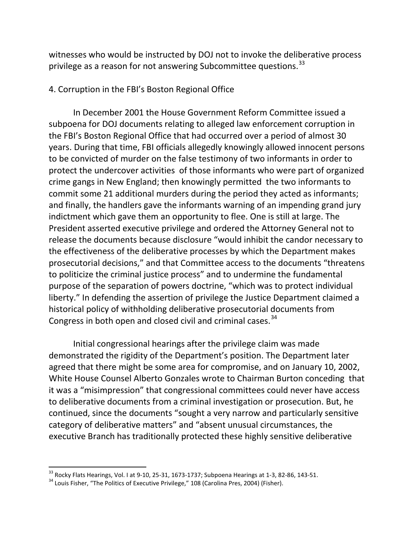witnesses who would be instructed by DOJ not to invoke the deliberative process privilege as a reason for not answering Subcommittee questions.<sup>[33](#page-13-0)</sup>

#### 4. Corruption in the FBI's Boston Regional Office

In December 2001 the House Government Reform Committee issued a subpoena for DOJ documents relating to alleged law enforcement corruption in the FBI's Boston Regional Office that had occurred over a period of almost 30 years. During that time, FBI officials allegedly knowingly allowed innocent persons to be convicted of murder on the false testimony of two informants in order to protect the undercover activities of those informants who were part of organized crime gangs in New England; then knowingly permitted the two informants to commit some 21 additional murders during the period they acted as informants; and finally, the handlers gave the informants warning of an impending grand jury indictment which gave them an opportunity to flee. One is still at large. The President asserted executive privilege and ordered the Attorney General not to release the documents because disclosure "would inhibit the candor necessary to the effectiveness of the deliberative processes by which the Department makes prosecutorial decisions," and that Committee access to the documents "threatens to politicize the criminal justice process" and to undermine the fundamental purpose of the separation of powers doctrine, "which was to protect individual liberty." In defending the assertion of privilege the Justice Department claimed a historical policy of withholding deliberative prosecutorial documents from Congress in both open and closed civil and criminal cases.<sup>[34](#page-13-1)</sup>

Initial congressional hearings after the privilege claim was made demonstrated the rigidity of the Department's position. The Department later agreed that there might be some area for compromise, and on January 10, 2002, White House Counsel Alberto Gonzales wrote to Chairman Burton conceding that it was a "misimpression" that congressional committees could never have access to deliberative documents from a criminal investigation or prosecution. But, he continued, since the documents "sought a very narrow and particularly sensitive category of deliberative matters" and "absent unusual circumstances, the executive Branch has traditionally protected these highly sensitive deliberative

<span id="page-13-0"></span> $33$  Rocky Flats Hearings, Vol. I at 9-10, 25-31, 1673-1737; Subpoena Hearings at 1-3, 82-86, 143-51.<br> $34$  Louis Fisher, "The Politics of Executive Privilege," 108 (Carolina Pres, 2004) (Fisher).

<span id="page-13-1"></span>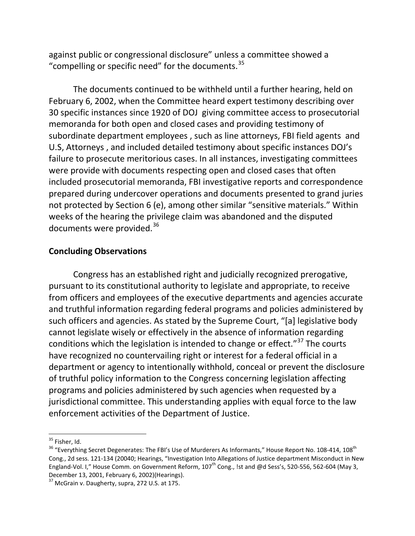against public or congressional disclosure" unless a committee showed a "compelling or specific need" for the documents. $35$ 

The documents continued to be withheld until a further hearing, held on February 6, 2002, when the Committee heard expert testimony describing over 30 specific instances since 1920 of DOJ giving committee access to prosecutorial memoranda for both open and closed cases and providing testimony of subordinate department employees , such as line attorneys, FBI field agents and U.S, Attorneys , and included detailed testimony about specific instances DOJ's failure to prosecute meritorious cases. In all instances, investigating committees were provide with documents respecting open and closed cases that often included prosecutorial memoranda, FBI investigative reports and correspondence prepared during undercover operations and documents presented to grand juries not protected by Section 6 (e), among other similar "sensitive materials." Within weeks of the hearing the privilege claim was abandoned and the disputed documents were provided.<sup>[36](#page-14-1)</sup>

### **Concluding Observations**

Congress has an established right and judicially recognized prerogative, pursuant to its constitutional authority to legislate and appropriate, to receive from officers and employees of the executive departments and agencies accurate and truthful information regarding federal programs and policies administered by such officers and agencies. As stated by the Supreme Court, "[a] legislative body cannot legislate wisely or effectively in the absence of information regarding conditions which the legislation is intended to change or effect."<sup>[37](#page-14-2)</sup> The courts have recognized no countervailing right or interest for a federal official in a department or agency to intentionally withhold, conceal or prevent the disclosure of truthful policy information to the Congress concerning legislation affecting programs and policies administered by such agencies when requested by a jurisdictional committee. This understanding applies with equal force to the law enforcement activities of the Department of Justice.

<span id="page-14-0"></span><sup>&</sup>lt;sup>35</sup> Fisher, Id.

<span id="page-14-1"></span> $36$  "Everything Secret Degenerates: The FBI's Use of Murderers As Informants," House Report No. 108-414, 108<sup>th</sup> Cong., 2d sess. 121-134 (20040; Hearings, "Investigation Into Allegations of Justice department Misconduct in New England-Vol. I," House Comm. on Government Reform, 107<sup>th</sup> Cong., !st and @d Sess's, 520-556, 562-604 (May 3, December 13, 2001, February 6, 2002)(Hearings).

<span id="page-14-2"></span> $37$  McGrain v. Daugherty, supra, 272 U.S. at 175.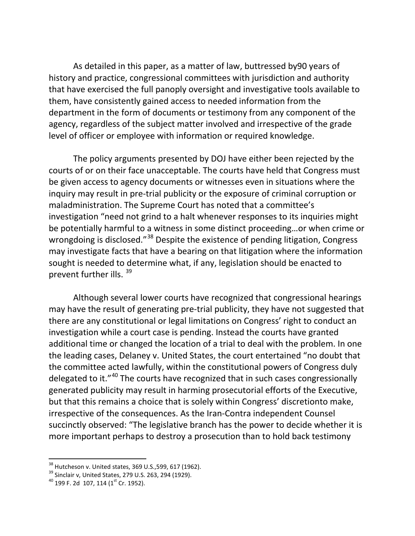As detailed in this paper, as a matter of law, buttressed by90 years of history and practice, congressional committees with jurisdiction and authority that have exercised the full panoply oversight and investigative tools available to them, have consistently gained access to needed information from the department in the form of documents or testimony from any component of the agency, regardless of the subject matter involved and irrespective of the grade level of officer or employee with information or required knowledge.

The policy arguments presented by DOJ have either been rejected by the courts of or on their face unacceptable. The courts have held that Congress must be given access to agency documents or witnesses even in situations where the inquiry may result in pre-trial publicity or the exposure of criminal corruption or maladministration. The Supreme Court has noted that a committee's investigation "need not grind to a halt whenever responses to its inquiries might be potentially harmful to a witness in some distinct proceeding…or when crime or wrongdoing is disclosed."<sup>[38](#page-15-0)</sup> Despite the existence of pending litigation, Congress may investigate facts that have a bearing on that litigation where the information sought is needed to determine what, if any, legislation should be enacted to prevent further ills. [39](#page-15-1)

Although several lower courts have recognized that congressional hearings may have the result of generating pre-trial publicity, they have not suggested that there are any constitutional or legal limitations on Congress' right to conduct an investigation while a court case is pending. Instead the courts have granted additional time or changed the location of a trial to deal with the problem. In one the leading cases, Delaney v. United States, the court entertained "no doubt that the committee acted lawfully, within the constitutional powers of Congress duly delegated to it."<sup>[40](#page-15-2)</sup> The courts have recognized that in such cases congressionally generated publicity may result in harming prosecutorial efforts of the Executive, but that this remains a choice that is solely within Congress' discretionto make, irrespective of the consequences. As the Iran-Contra independent Counsel succinctly observed: "The legislative branch has the power to decide whether it is more important perhaps to destroy a prosecution than to hold back testimony

<span id="page-15-0"></span> <sup>38</sup> Hutcheson v. United states, 369 U.S.,599, 617 (1962).

<span id="page-15-1"></span><sup>&</sup>lt;sup>39</sup> Sinclair v, United States, 279 U.S. 263, 294 (1929).<br><sup>40</sup> 199 F. 2d 107, 114 (1<sup>st</sup> Cr. 1952).

<span id="page-15-2"></span>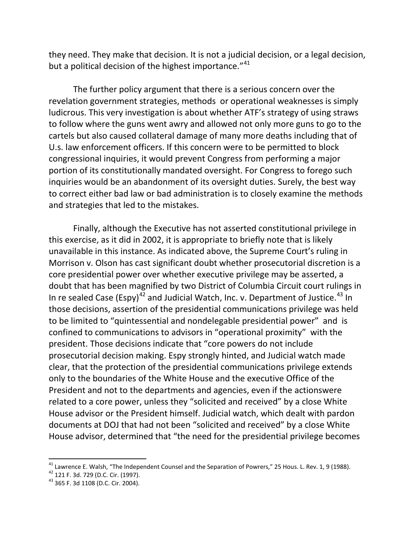they need. They make that decision. It is not a judicial decision, or a legal decision, but a political decision of the highest importance."<sup>[41](#page-16-0)</sup>

The further policy argument that there is a serious concern over the revelation government strategies, methods or operational weaknesses is simply ludicrous. This very investigation is about whether ATF's strategy of using straws to follow where the guns went awry and allowed not only more guns to go to the cartels but also caused collateral damage of many more deaths including that of U.s. law enforcement officers. If this concern were to be permitted to block congressional inquiries, it would prevent Congress from performing a major portion of its constitutionally mandated oversight. For Congress to forego such inquiries would be an abandonment of its oversight duties. Surely, the best way to correct either bad law or bad administration is to closely examine the methods and strategies that led to the mistakes.

Finally, although the Executive has not asserted constitutional privilege in this exercise, as it did in 2002, it is appropriate to briefly note that is likely unavailable in this instance. As indicated above, the Supreme Court's ruling in Morrison v. Olson has cast significant doubt whether prosecutorial discretion is a core presidential power over whether executive privilege may be asserted, a doubt that has been magnified by two District of Columbia Circuit court rulings in In re sealed Case (Espy)<sup>[42](#page-16-1)</sup> and Judicial Watch, Inc. v. Department of Justice.<sup>[43](#page-16-2)</sup> In those decisions, assertion of the presidential communications privilege was held to be limited to "quintessential and nondelegable presidential power" and is confined to communications to advisors in "operational proximity" with the president. Those decisions indicate that "core powers do not include prosecutorial decision making. Espy strongly hinted, and Judicial watch made clear, that the protection of the presidential communications privilege extends only to the boundaries of the White House and the executive Office of the President and not to the departments and agencies, even if the actionswere related to a core power, unless they "solicited and received" by a close White House advisor or the President himself. Judicial watch, which dealt with pardon documents at DOJ that had not been "solicited and received" by a close White House advisor, determined that "the need for the presidential privilege becomes

<span id="page-16-0"></span> $\frac{41}{1}$  Lawrence E. Walsh, "The Independent Counsel and the Separation of Powrers," 25 Hous. L. Rev. 1, 9 (1988).

<span id="page-16-2"></span><span id="page-16-1"></span><sup>&</sup>lt;sup>42</sup> 121 F. 3d. 729 (D.C. Cir. (1997).<br><sup>43</sup> 365 F. 3d 1108 (D.C. Cir. 2004).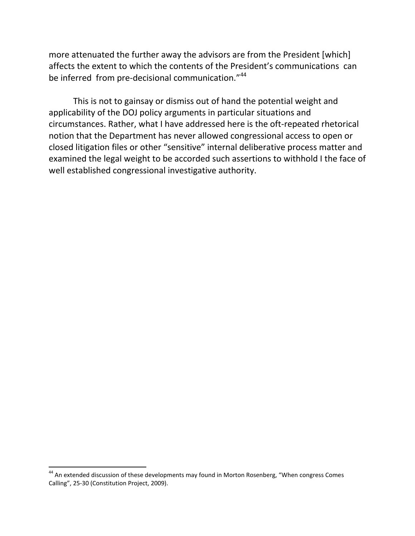more attenuated the further away the advisors are from the President [which] affects the extent to which the contents of the President's communications can be inferred from pre-decisional communication."<sup>[44](#page-17-0)</sup>

This is not to gainsay or dismiss out of hand the potential weight and applicability of the DOJ policy arguments in particular situations and circumstances. Rather, what I have addressed here is the oft-repeated rhetorical notion that the Department has never allowed congressional access to open or closed litigation files or other "sensitive" internal deliberative process matter and examined the legal weight to be accorded such assertions to withhold I the face of well established congressional investigative authority.

<span id="page-17-0"></span><sup>&</sup>lt;sup>44</sup> An extended discussion of these developments may found in Morton Rosenberg, "When congress Comes Calling", 25-30 (Constitution Project, 2009).